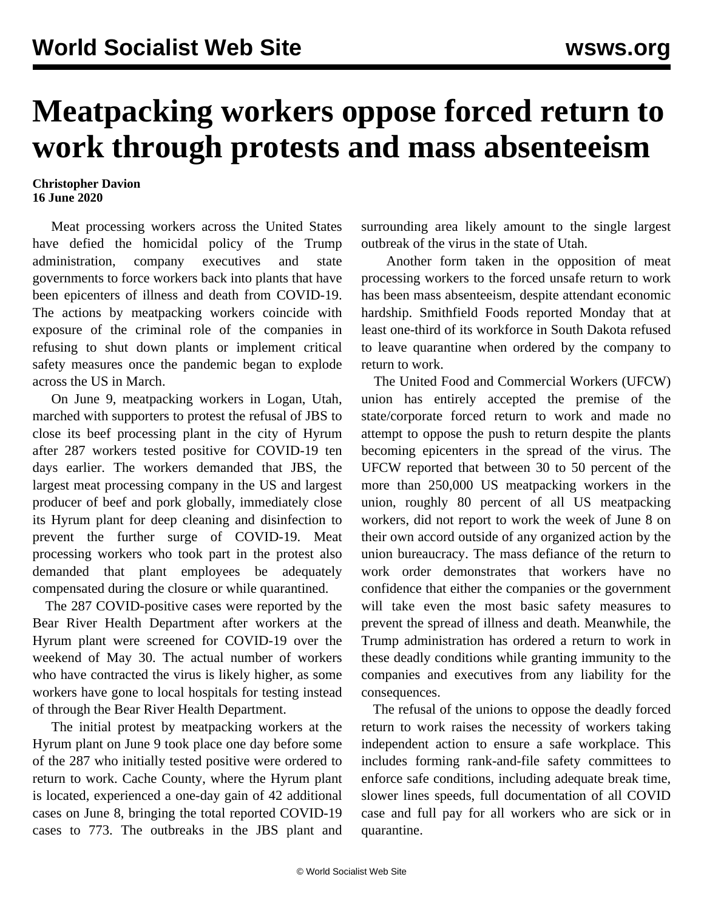## **Meatpacking workers oppose forced return to work through protests and mass absenteeism**

## **Christopher Davion 16 June 2020**

 Meat processing workers across the United States have defied the homicidal policy of the Trump administration, company executives and state governments to force workers back into plants that have been epicenters of illness and death from COVID-19. The actions by meatpacking workers coincide with exposure of the criminal role of the companies in refusing to shut down plants or implement critical safety measures once the pandemic began to explode across the US in March.

 On June 9, meatpacking workers in Logan, Utah, marched with supporters to protest the refusal of JBS to close its beef processing plant in the city of Hyrum after 287 workers tested positive for COVID-19 ten days earlier. The workers demanded that JBS, the largest meat processing company in the US and largest producer of beef and pork globally, immediately close its Hyrum plant for deep cleaning and disinfection to prevent the further surge of COVID-19. Meat processing workers who took part in the protest also demanded that plant employees be adequately compensated during the closure or while quarantined.

 The 287 COVID-positive cases were reported by the Bear River Health Department after workers at the Hyrum plant were screened for COVID-19 over the weekend of May 30. The actual number of workers who have contracted the virus is likely higher, as some workers have gone to local hospitals for testing instead of through the Bear River Health Department.

 The initial protest by meatpacking workers at the Hyrum plant on June 9 took place one day before some of the 287 who initially tested positive were ordered to return to work. Cache County, where the Hyrum plant is located, experienced a one-day gain of 42 additional cases on June 8, bringing the total reported COVID-19 cases to 773. The outbreaks in the JBS plant and surrounding area likely amount to the single largest outbreak of the virus in the state of Utah.

 Another form taken in the opposition of meat processing workers to the forced unsafe return to work has been mass absenteeism, despite attendant economic hardship. Smithfield Foods reported Monday that at least one-third of its workforce in South Dakota refused to leave quarantine when ordered by the company to return to work.

 The United Food and Commercial Workers (UFCW) union has entirely accepted the premise of the state/corporate forced return to work and made no attempt to oppose the push to return despite the plants becoming epicenters in the spread of the virus. The UFCW reported that between 30 to 50 percent of the more than 250,000 US meatpacking workers in the union, roughly 80 percent of all US meatpacking workers, did not report to work the week of June 8 on their own accord outside of any organized action by the union bureaucracy. The mass defiance of the return to work order demonstrates that workers have no confidence that either the companies or the government will take even the most basic safety measures to prevent the spread of illness and death. Meanwhile, the Trump administration has ordered a return to work in these deadly conditions while granting immunity to the companies and executives from any liability for the consequences.

 The refusal of the unions to oppose the deadly forced return to work raises the necessity of workers taking independent action to ensure a safe workplace. This includes forming rank-and-file safety committees to enforce safe conditions, including adequate break time, slower lines speeds, full documentation of all COVID case and full pay for all workers who are sick or in quarantine.